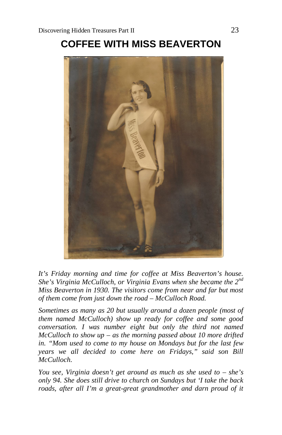

# **COFFEE WITH MISS BEAVERTON**

*It's Friday morning and time for coffee at Miss Beaverton's house. She's Virginia McCulloch, or Virginia Evans when she became the 2nd Miss Beaverton in 1930. The visitors come from near and far but most of them come from just down the road – McCulloch Road.*

*Sometimes as many as 20 but usually around a dozen people (most of them named McCulloch) show up ready for coffee and some good conversation. I was number eight but only the third not named McCulloch to show up – as the morning passed about 10 more drifted in. "Mom used to come to my house on Mondays but for the last few years we all decided to come here on Fridays," said son Bill McCulloch.*

*You see, Virginia doesn't get around as much as she used to – she's only 94. She does still drive to church on Sundays but 'I take the back roads, after all I'm a great-great grandmother and darn proud of it*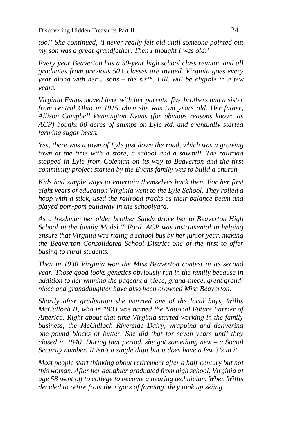*too!' She continued, 'I never really felt old until someone pointed out my son was a great-grandfather. Then I thought I was old.'*

*Every year Beaverton has a 50-year high school class reunion and all graduates from previous 50+ classes are invited. Virginia goes every year along with her 5 sons – the sixth, Bill, will be eligible in a few years.*

*Virginia Evans moved here with her parents, five brothers and a sister from central Ohio in 1915 when she was two years old. Her father, Allison Campbell Pennington Evans (for obvious reasons known as ACP) bought 80 acres of stumps on Lyle Rd. and eventually started farming sugar beets.*

*Yes, there was a town of Lyle just down the road, which was a growing town at the time with a store, a school and a sawmill. The railroad stopped in Lyle from Coleman on its way to Beaverton and the first community project started by the Evans family was to build a church.*

*Kids had simple ways to entertain themselves back then. For her first eight years of education Virginia went to the Lyle School. They rolled a hoop with a stick, used the railroad tracks as their balance beam and played pom-pom pullaway in the schoolyard.*

*As a freshman her older brother Sandy drove her to Beaverton High School in the family Model T Ford. ACP was instrumental in helping ensure that Virginia was riding a school bus by her junior year, making the Beaverton Consolidated School District one of the first to offer busing to rural students.*

*Then in 1930 Virginia won the Miss Beaverton contest in its second year. Those good looks genetics obviously run in the family because in addition to her winning the pageant a niece, grand-niece, great grandniece and granddaughter have also been crowned Miss Beaverton.* 

*Shortly after graduation she married one of the local boys, Willis McCulloch II, who in 1933 was named the National Future Farmer of America. Right about that time Virginia started working in the family business, the McCulloch Riverside Dairy, wrapping and delivering one-pound blocks of butter. She did that for seven years until they closed in 1940. During that period, she got something new – a Social Security number. It isn't a single digit but it does have a few 3's in it.*

*Most people start thinking about retirement after a half-century but not this woman. After her daughter graduated from high school, Virginia at age 58 went off to college to become a hearing technician. When Willis decided to retire from the rigors of farming, they took up skiing.*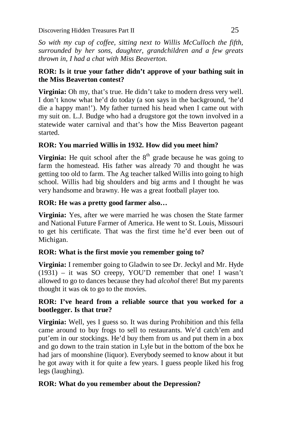*So with my cup of coffee, sitting next to Willis McCulloch the fifth, surrounded by her sons, daughter, grandchildren and a few greats thrown in, I had a chat with Miss Beaverton.*

## **ROR: Is it true your father didn't approve of your bathing suit in the Miss Beaverton contest?**

**Virginia:** Oh my, that's true. He didn't take to modern dress very well. I don't know what he'd do today (a son says in the background, 'he'd die a happy man!'). My father turned his head when I came out with my suit on. L.J. Budge who had a drugstore got the town involved in a statewide water carnival and that's how the Miss Beaverton pageant started.

## **ROR: You married Willis in 1932. How did you meet him?**

**Virginia:** He quit school after the  $8<sup>th</sup>$  grade because he was going to farm the homestead. His father was already 70 and thought he was getting too old to farm. The Ag teacher talked Willis into going to high school. Willis had big shoulders and big arms and I thought he was very handsome and brawny. He was a great football player too.

## **ROR: He was a pretty good farmer also…**

**Virginia:** Yes, after we were married he was chosen the State farmer and National Future Farmer of America. He went to St. Louis, Missouri to get his certificate. That was the first time he'd ever been out of Michigan.

## **ROR: What is the first movie you remember going to?**

**Virginia:** I remember going to Gladwin to see Dr. Jeckyl and Mr. Hyde (1931) – it was SO creepy, YOU'D remember that one! I wasn't allowed to go to dances because they had *alcohol* there! But my parents thought it was ok to go to the movies.

## **ROR: I've heard from a reliable source that you worked for a bootlegger. Is that true?**

**Virginia:** Well, yes I guess so. It was during Prohibition and this fella came around to buy frogs to sell to restaurants. We'd catch'em and put'em in our stockings. He'd buy them from us and put them in a box and go down to the train station in Lyle but in the bottom of the box he had jars of moonshine (liquor). Everybody seemed to know about it but he got away with it for quite a few years. I guess people liked his frog legs (laughing).

## **ROR: What do you remember about the Depression?**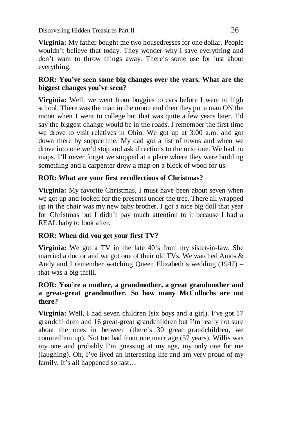**Virginia:** My father bought me two housedresses for one dollar. People wouldn't believe that today. They wonder why I save everything and don't want to throw things away. There's some use for just about everything.

#### **ROR: You've seen some big changes over the years. What are the biggest changes you've seen?**

**Virginia:** Well, we went from buggies to cars before I went to high school. There was the man in the moon and then they put a man ON the moon when I went to college but that was quite a few years later. I'd say the biggest change would be in the roads. I remember the first time we drove to visit relatives in Ohio. We got up at 3:00 a.m. and got down there by suppertime. My dad got a list of towns and when we drove into one we'd stop and ask directions to the next one. We had no maps. I'll never forget we stopped at a place where they were building something and a carpenter drew a map on a block of wood for us.

#### **ROR: What are your first recollections of Christmas?**

**Virginia:** My favorite Christmas, I must have been about seven when we got up and looked for the presents under the tree. There all wrapped up in the chair was my new baby brother. I got a nice big doll that year for Christmas but I didn't pay much attention to it because I had a REAL baby to look after.

#### **ROR: When did you get your first TV?**

**Virginia:** We got a TV in the late 40's from my sister-in-law. She married a doctor and we got one of their old TVs. We watched Amos & Andy and I remember watching Queen Elizabeth's wedding (1947) – that was a big thrill.

#### **ROR: You're a mother, a grandmother, a great grandmother and a great-great grandmother. So how many McCullochs are out there?**

**Virginia:** Well, I had seven children (six boys and a girl). I've got 17 grandchildren and 16 great-great grandchildren but I'm really not sure about the ones in between (there's 30 great grandchildren, we counted'em up). Not too bad from one marriage (57 years). Willis was my one and probably I'm guessing at my age, my only one for me (laughing). Oh, I've lived an interesting life and am very proud of my family. It's all happened so fast…